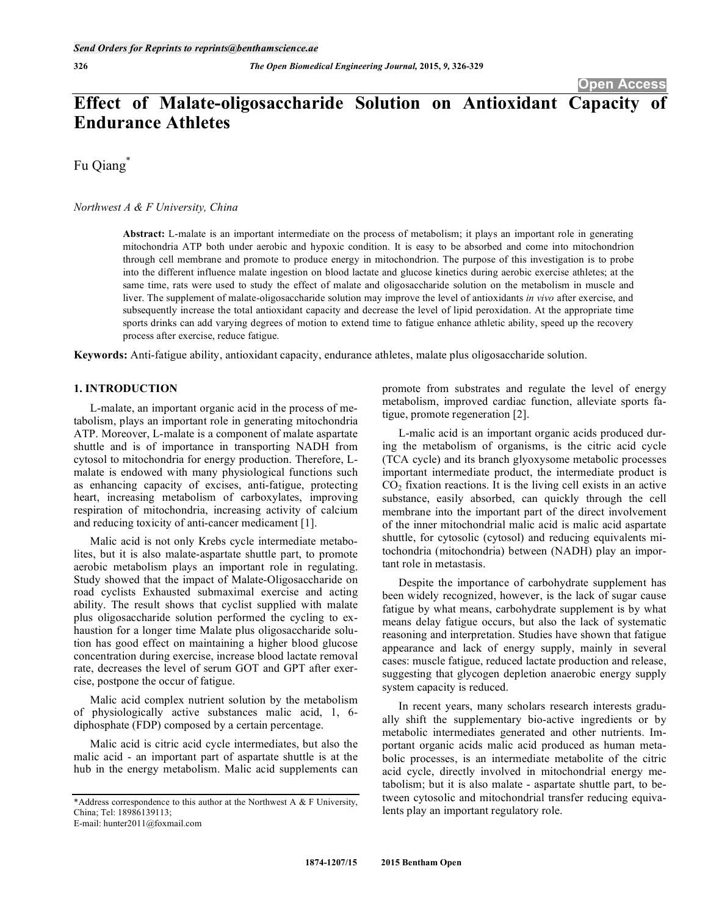# **Effect of Malate-oligosaccharide Solution on Antioxidant Capacity of Endurance Athletes**

Fu Qiang\*

*Northwest A & F University, China* 

**Abstract:** L-malate is an important intermediate on the process of metabolism; it plays an important role in generating mitochondria ATP both under aerobic and hypoxic condition. It is easy to be absorbed and come into mitochondrion through cell membrane and promote to produce energy in mitochondrion. The purpose of this investigation is to probe into the different influence malate ingestion on blood lactate and glucose kinetics during aerobic exercise athletes; at the same time, rats were used to study the effect of malate and oligosaccharide solution on the metabolism in muscle and liver. The supplement of malate-oligosaccharide solution may improve the level of antioxidants *in vivo* after exercise, and subsequently increase the total antioxidant capacity and decrease the level of lipid peroxidation. At the appropriate time sports drinks can add varying degrees of motion to extend time to fatigue enhance athletic ability, speed up the recovery process after exercise, reduce fatigue.

**Keywords:** Anti-fatigue ability, antioxidant capacity, endurance athletes, malate plus oligosaccharide solution.

# **1. INTRODUCTION**

L-malate, an important organic acid in the process of metabolism, plays an important role in generating mitochondria ATP. Moreover, L-malate is a component of malate aspartate shuttle and is of importance in transporting NADH from cytosol to mitochondria for energy production. Therefore, Lmalate is endowed with many physiological functions such as enhancing capacity of excises, anti-fatigue, protecting heart, increasing metabolism of carboxylates, improving respiration of mitochondria, increasing activity of calcium and reducing toxicity of anti-cancer medicament [1].

Malic acid is not only Krebs cycle intermediate metabolites, but it is also malate-aspartate shuttle part, to promote aerobic metabolism plays an important role in regulating. Study showed that the impact of Malate-Oligosaccharide on road cyclists Exhausted submaximal exercise and acting ability. The result shows that cyclist supplied with malate plus oligosaccharide solution performed the cycling to exhaustion for a longer time Malate plus oligosaccharide solution has good effect on maintaining a higher blood glucose concentration during exercise, increase blood lactate removal rate, decreases the level of serum GOT and GPT after exercise, postpone the occur of fatigue.

Malic acid complex nutrient solution by the metabolism of physiologically active substances malic acid, 1, 6 diphosphate (FDP) composed by a certain percentage.

Malic acid is citric acid cycle intermediates, but also the malic acid - an important part of aspartate shuttle is at the hub in the energy metabolism. Malic acid supplements can

E-mail: hunter2011@foxmail.com

promote from substrates and regulate the level of energy metabolism, improved cardiac function, alleviate sports fatigue, promote regeneration [2].

L-malic acid is an important organic acids produced during the metabolism of organisms, is the citric acid cycle (TCA cycle) and its branch glyoxysome metabolic processes important intermediate product, the intermediate product is  $CO<sub>2</sub>$  fixation reactions. It is the living cell exists in an active substance, easily absorbed, can quickly through the cell membrane into the important part of the direct involvement of the inner mitochondrial malic acid is malic acid aspartate shuttle, for cytosolic (cytosol) and reducing equivalents mitochondria (mitochondria) between (NADH) play an important role in metastasis.

Despite the importance of carbohydrate supplement has been widely recognized, however, is the lack of sugar cause fatigue by what means, carbohydrate supplement is by what means delay fatigue occurs, but also the lack of systematic reasoning and interpretation. Studies have shown that fatigue appearance and lack of energy supply, mainly in several cases: muscle fatigue, reduced lactate production and release, suggesting that glycogen depletion anaerobic energy supply system capacity is reduced.

In recent years, many scholars research interests gradually shift the supplementary bio-active ingredients or by metabolic intermediates generated and other nutrients. Important organic acids malic acid produced as human metabolic processes, is an intermediate metabolite of the citric acid cycle, directly involved in mitochondrial energy metabolism; but it is also malate - aspartate shuttle part, to between cytosolic and mitochondrial transfer reducing equivalents play an important regulatory role.

<sup>\*</sup>Address correspondence to this author at the Northwest A & F University, China; Tel: 18986139113;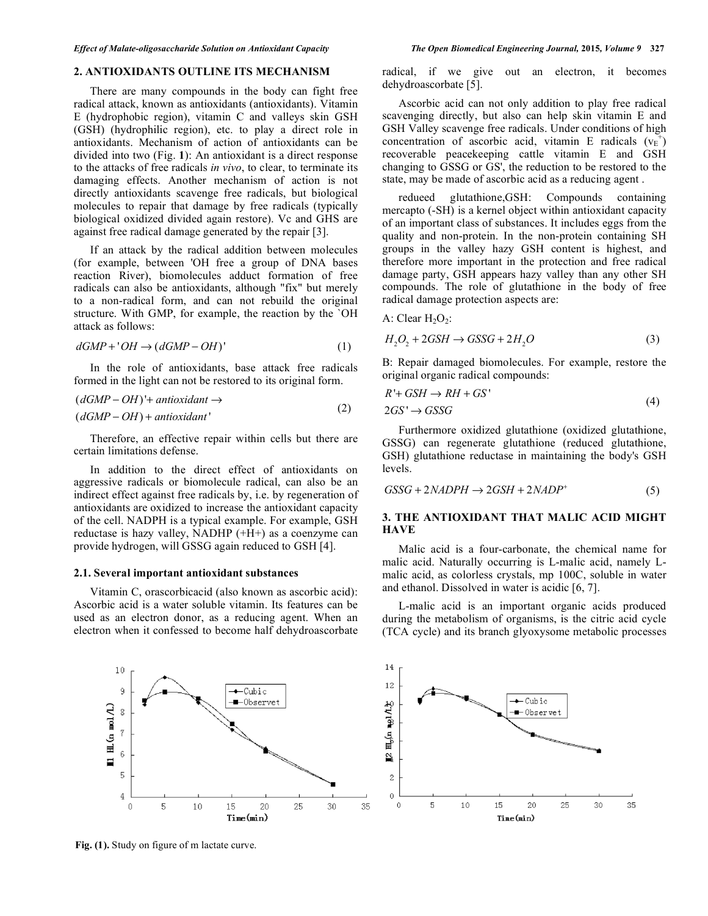# **2. ANTIOXIDANTS OUTLINE ITS MECHANISM**

There are many compounds in the body can fight free radical attack, known as antioxidants (antioxidants). Vitamin E (hydrophobic region), vitamin C and valleys skin GSH (GSH) (hydrophilic region), etc. to play a direct role in antioxidants. Mechanism of action of antioxidants can be divided into two (Fig. **1**): An antioxidant is a direct response to the attacks of free radicals *in vivo*, to clear, to terminate its damaging effects. Another mechanism of action is not directly antioxidants scavenge free radicals, but biological molecules to repair that damage by free radicals (typically biological oxidized divided again restore). Vc and GHS are against free radical damage generated by the repair [3].

If an attack by the radical addition between molecules (for example, between 'OH free a group of DNA bases reaction River), biomolecules adduct formation of free radicals can also be antioxidants, although "fix" but merely to a non-radical form, and can not rebuild the original structure. With GMP, for example, the reaction by the `OH attack as follows:

$$
dGMP + 'OH \rightarrow (dGMP - OH)'
$$
 (1)

In the role of antioxidants, base attack free radicals formed in the light can not be restored to its original form.

$$
(dGMP - OH)' + antioxidant \rightarrow
$$
  

$$
(dGMP - OH) + antioxidant'
$$
 (2)

(*dGMP OH*) '+ *antioxidant* -

 $10$ 

9

 $\overline{7}$ 

6

 $\overline{4}$ 

 $\theta$ 

 $H_{L}(n \mod L)$ 8

 $\blacksquare$ 5

Therefore, an effective repair within cells but there are certain limitations defense.

In addition to the direct effect of antioxidants on aggressive radicals or biomolecule radical, can also be an indirect effect against free radicals by, i.e. by regeneration of antioxidants are oxidized to increase the antioxidant capacity of the cell. NADPH is a typical example. For example, GSH reductase is hazy valley, NADHP (+H+) as a coenzyme can provide hydrogen, will GSSG again reduced to GSH [4].

### **2.1. Several important antioxidant substances**

Vitamin C, orascorbicacid (also known as ascorbic acid): Ascorbic acid is a water soluble vitamin. Its features can be used as an electron donor, as a reducing agent. When an electron when it confessed to become half dehydroascorbate

> $\leftarrow$ Cubic -Observet



 $10$ 

15

20

 $Time(min)$ 

25

30

5

radical, if we give out an electron, it becomes dehydroascorbate 
$$
[5]
$$
.

Ascorbic acid can not only addition to play free radical scavenging directly, but also can help skin vitamin E and GSH Valley scavenge free radicals. Under conditions of high concentration of ascorbic acid, vitamin E radicals  $(v_{E}^{+})$ recoverable peacekeeping cattle vitamin E and GSH changing to GSSG or GS', the reduction to be restored to the state, may be made of ascorbic acid as a reducing agent .

redueed glutathione,GSH: Compounds containing mercapto (-SH) is a kernel object within antioxidant capacity of an important class of substances. It includes eggs from the quality and non-protein. In the non-protein containing SH groups in the valley hazy GSH content is highest, and therefore more important in the protection and free radical damage party, GSH appears hazy valley than any other SH compounds. The role of glutathione in the body of free radical damage protection aspects are:

A: Clear  $H_2O_2$ :

$$
H_2O_2 + 2GSH \to GSSG + 2H_2O \tag{3}
$$

B: Repair damaged biomolecules. For example, restore the original organic radical compounds:

$$
R' + GSH \to RH + GS'
$$
  
\n
$$
2GS' \to GSSG
$$
\n(4)

Furthermore oxidized glutathione (oxidized glutathione, GSSG) can regenerate glutathione (reduced glutathione, GSH) glutathione reductase in maintaining the body's GSH levels.

$$
GSSG + 2NADPH \rightarrow 2GSH + 2NADP^+ \tag{5}
$$

# **3. THE ANTIOXIDANT THAT MALIC ACID MIGHT HAVE**

Malic acid is a four-carbonate, the chemical name for malic acid. Naturally occurring is L-malic acid, namely Lmalic acid, as colorless crystals, mp 100C, soluble in water and ethanol. Dissolved in water is acidic [6, 7].

L-malic acid is an important organic acids produced during the metabolism of organisms, is the citric acid cycle (TCA cycle) and its branch glyoxysome metabolic processes

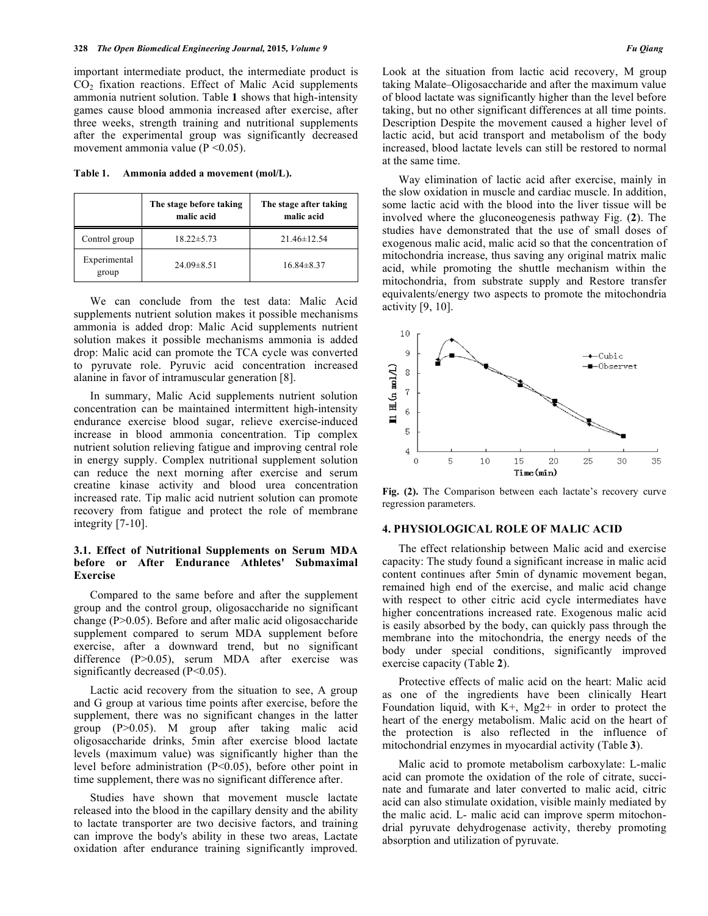important intermediate product, the intermediate product is  $CO<sub>2</sub>$  fixation reactions. Effect of Malic Acid supplements ammonia nutrient solution. Table **1** shows that high-intensity games cause blood ammonia increased after exercise, after three weeks, strength training and nutritional supplements after the experimental group was significantly decreased movement ammonia value (P <0.05).

**Table 1. Ammonia added a movement (mol/L).** 

|                       | The stage before taking<br>malic acid | The stage after taking<br>malic acid |  |
|-----------------------|---------------------------------------|--------------------------------------|--|
| Control group         | $18.22 \pm 5.73$                      | $21.46\pm 12.54$                     |  |
| Experimental<br>group | $24.09\pm8.51$                        | $16.84\pm8.37$                       |  |

We can conclude from the test data: Malic Acid supplements nutrient solution makes it possible mechanisms ammonia is added drop: Malic Acid supplements nutrient solution makes it possible mechanisms ammonia is added drop: Malic acid can promote the TCA cycle was converted to pyruvate role. Pyruvic acid concentration increased alanine in favor of intramuscular generation [8].

In summary, Malic Acid supplements nutrient solution concentration can be maintained intermittent high-intensity endurance exercise blood sugar, relieve exercise-induced increase in blood ammonia concentration. Tip complex nutrient solution relieving fatigue and improving central role in energy supply. Complex nutritional supplement solution can reduce the next morning after exercise and serum creatine kinase activity and blood urea concentration increased rate. Tip malic acid nutrient solution can promote recovery from fatigue and protect the role of membrane integrity [7-10].

# **3.1. Effect of Nutritional Supplements on Serum MDA before or After Endurance Athletes' Submaximal Exercise**

Compared to the same before and after the supplement group and the control group, oligosaccharide no significant change (P>0.05). Before and after malic acid oligosaccharide supplement compared to serum MDA supplement before exercise, after a downward trend, but no significant difference (P>0.05), serum MDA after exercise was significantly decreased (P<0.05).

Lactic acid recovery from the situation to see, A group and G group at various time points after exercise, before the supplement, there was no significant changes in the latter group (P>0.05). M group after taking malic acid oligosaccharide drinks, 5min after exercise blood lactate levels (maximum value) was significantly higher than the level before administration (P<0.05), before other point in time supplement, there was no significant difference after.

Studies have shown that movement muscle lactate released into the blood in the capillary density and the ability to lactate transporter are two decisive factors, and training can improve the body's ability in these two areas, Lactate oxidation after endurance training significantly improved.

Look at the situation from lactic acid recovery, M group taking Malate–Oligosaccharide and after the maximum value of blood lactate was significantly higher than the level before taking, but no other significant differences at all time points. Description Despite the movement caused a higher level of lactic acid, but acid transport and metabolism of the body increased, blood lactate levels can still be restored to normal at the same time.

Way elimination of lactic acid after exercise, mainly in the slow oxidation in muscle and cardiac muscle. In addition, some lactic acid with the blood into the liver tissue will be involved where the gluconeogenesis pathway Fig. (**2**). The studies have demonstrated that the use of small doses of exogenous malic acid, malic acid so that the concentration of mitochondria increase, thus saving any original matrix malic acid, while promoting the shuttle mechanism within the mitochondria, from substrate supply and Restore transfer equivalents/energy two aspects to promote the mitochondria activity [9, 10].



**Fig. (2).** The Comparison between each lactate's recovery curve regression parameters.

## **4. PHYSIOLOGICAL ROLE OF MALIC ACID**

The effect relationship between Malic acid and exercise capacity: The study found a significant increase in malic acid content continues after 5min of dynamic movement began, remained high end of the exercise, and malic acid change with respect to other citric acid cycle intermediates have higher concentrations increased rate. Exogenous malic acid is easily absorbed by the body, can quickly pass through the membrane into the mitochondria, the energy needs of the body under special conditions, significantly improved exercise capacity (Table **2**).

Protective effects of malic acid on the heart: Malic acid as one of the ingredients have been clinically Heart Foundation liquid, with  $K^+$ , Mg2+ in order to protect the heart of the energy metabolism. Malic acid on the heart of the protection is also reflected in the influence of mitochondrial enzymes in myocardial activity (Table **3**).

Malic acid to promote metabolism carboxylate: L-malic acid can promote the oxidation of the role of citrate, succinate and fumarate and later converted to malic acid, citric acid can also stimulate oxidation, visible mainly mediated by the malic acid. L- malic acid can improve sperm mitochondrial pyruvate dehydrogenase activity, thereby promoting absorption and utilization of pyruvate.